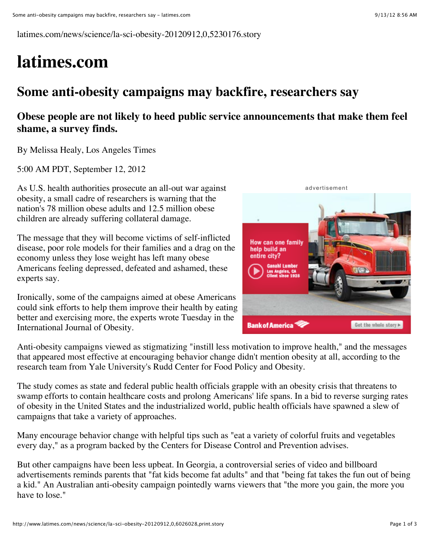latimes.com/news/science/la-sci-obesity-20120912,0,5230176.story

## **latimes.com**

## **Some anti-obesity campaigns may backfire, researchers say**

## **Obese people are not likely to heed public service announcements that make them feel shame, a survey finds.**

By Melissa Healy, Los Angeles Times

5:00 AM PDT, September 12, 2012

As U.S. health authorities prosecute an all-out war against obesity, a small cadre of researchers is warning that the nation's 78 million obese adults and 12.5 million obese children are already suffering collateral damage.

The message that they will become victims of self-inflicted disease, poor role models for their families and a drag on the economy unless they lose weight has left many obese Americans feeling depressed, defeated and ashamed, these experts say.

Ironically, some of the campaigns aimed at obese Americans could sink efforts to help them improve their health by eating better and exercising more, the experts wrote Tuesday in the International Journal of Obesity.



Anti-obesity campaigns viewed as stigmatizing "instill less motivation to improve health," and the messages that appeared most effective at encouraging behavior change didn't mention obesity at all, according to the research team from Yale University's Rudd Center for Food Policy and Obesity.

The study comes as state and federal public health officials grapple with an obesity crisis that threatens to swamp efforts to contain healthcare costs and prolong Americans' life spans. In a bid to reverse surging rates of obesity in the United States and the industrialized world, public health officials have spawned a slew of campaigns that take a variety of approaches.

Many encourage behavior change with helpful tips such as "eat a variety of colorful fruits and vegetables every day," as a program backed by the Centers for Disease Control and Prevention advises.

But other campaigns have been less upbeat. In Georgia, a controversial series of video and billboard advertisements reminds parents that "fat kids become fat adults" and that "being fat takes the fun out of being a kid." An Australian anti-obesity campaign pointedly warns viewers that "the more you gain, the more you have to lose."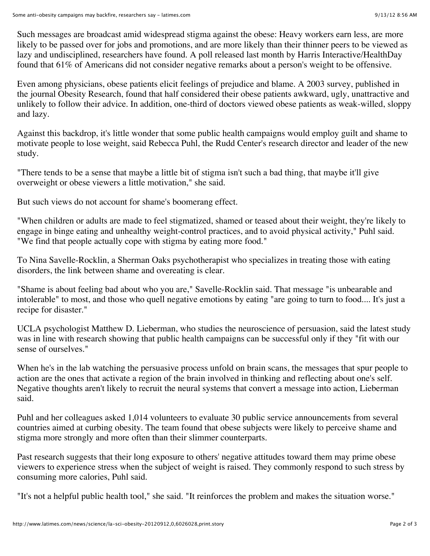Such messages are broadcast amid widespread stigma against the obese: Heavy workers earn less, are more likely to be passed over for jobs and promotions, and are more likely than their thinner peers to be viewed as lazy and undisciplined, researchers have found. A poll released last month by Harris Interactive/HealthDay found that 61% of Americans did not consider negative remarks about a person's weight to be offensive.

Even among physicians, obese patients elicit feelings of prejudice and blame. A 2003 survey, published in the journal Obesity Research, found that half considered their obese patients awkward, ugly, unattractive and unlikely to follow their advice. In addition, one-third of doctors viewed obese patients as weak-willed, sloppy and lazy.

Against this backdrop, it's little wonder that some public health campaigns would employ guilt and shame to motivate people to lose weight, said Rebecca Puhl, the Rudd Center's research director and leader of the new study.

"There tends to be a sense that maybe a little bit of stigma isn't such a bad thing, that maybe it'll give overweight or obese viewers a little motivation," she said.

But such views do not account for shame's boomerang effect.

"When children or adults are made to feel stigmatized, shamed or teased about their weight, they're likely to engage in binge eating and unhealthy weight-control practices, and to avoid physical activity," Puhl said. "We find that people actually cope with stigma by eating more food."

To Nina Savelle-Rocklin, a Sherman Oaks psychotherapist who specializes in treating those with eating disorders, the link between shame and overeating is clear.

"Shame is about feeling bad about who you are," Savelle-Rocklin said. That message "is unbearable and intolerable" to most, and those who quell negative emotions by eating "are going to turn to food.... It's just a recipe for disaster."

UCLA psychologist Matthew D. Lieberman, who studies the neuroscience of persuasion, said the latest study was in line with research showing that public health campaigns can be successful only if they "fit with our sense of ourselves."

When he's in the lab watching the persuasive process unfold on brain scans, the messages that spur people to action are the ones that activate a region of the brain involved in thinking and reflecting about one's self. Negative thoughts aren't likely to recruit the neural systems that convert a message into action, Lieberman said.

Puhl and her colleagues asked 1,014 volunteers to evaluate 30 public service announcements from several countries aimed at curbing obesity. The team found that obese subjects were likely to perceive shame and stigma more strongly and more often than their slimmer counterparts.

Past research suggests that their long exposure to others' negative attitudes toward them may prime obese viewers to experience stress when the subject of weight is raised. They commonly respond to such stress by consuming more calories, Puhl said.

"It's not a helpful public health tool," she said. "It reinforces the problem and makes the situation worse."